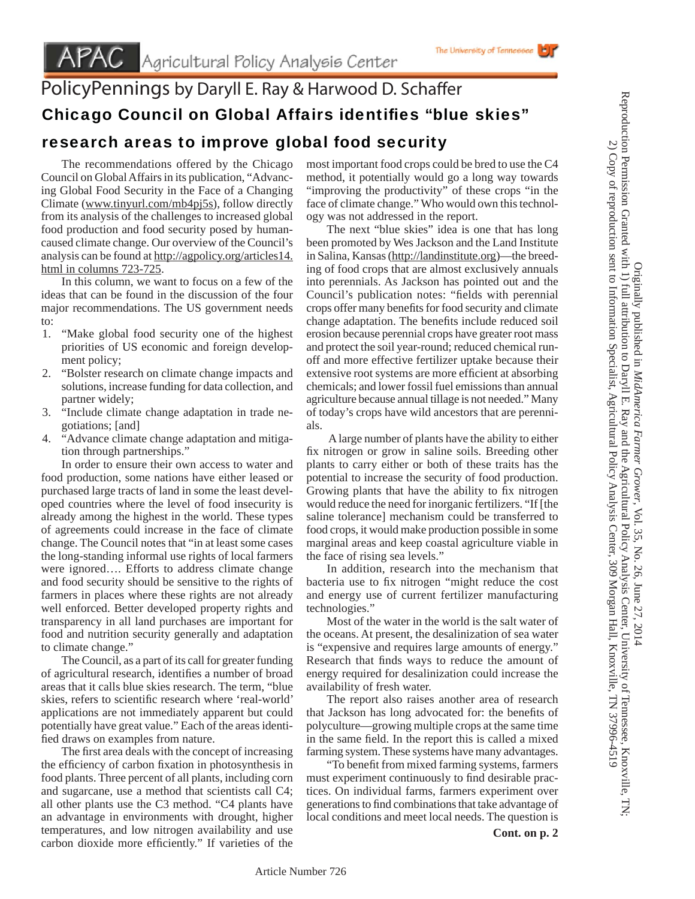## PolicyPennings by Daryll E. Ray & Harwood D. Schaffer Chicago Council on Global Affairs identifies "blue skies"

## research areas to improve global food security

 The recommendations offered by the Chicago Council on Global Affairs in its publication, "Advancing Global Food Security in the Face of a Changing Climate (www.tinyurl.com/mb4pj5s), follow directly from its analysis of the challenges to increased global food production and food security posed by humancaused climate change. Our overview of the Council's analysis can be found at http://agpolicy.org/articles14. html in columns 723-725.

 In this column, we want to focus on a few of the ideas that can be found in the discussion of the four major recommendations. The US government needs to:

- 1. "Make global food security one of the highest priorities of US economic and foreign development policy;
- 2. "Bolster research on climate change impacts and solutions, increase funding for data collection, and partner widely;
- 3. "Include climate change adaptation in trade negotiations; [and]
- 4. "Advance climate change adaptation and mitigation through partnerships."

 In order to ensure their own access to water and food production, some nations have either leased or purchased large tracts of land in some the least developed countries where the level of food insecurity is already among the highest in the world. These types of agreements could increase in the face of climate change. The Council notes that "in at least some cases the long-standing informal use rights of local farmers were ignored…. Efforts to address climate change and food security should be sensitive to the rights of farmers in places where these rights are not already well enforced. Better developed property rights and transparency in all land purchases are important for food and nutrition security generally and adaptation to climate change."

 The Council, as a part of its call for greater funding of agricultural research, identifies a number of broad areas that it calls blue skies research. The term, "blue skies, refers to scientific research where 'real-world' applications are not immediately apparent but could potentially have great value." Each of the areas identified draws on examples from nature.

The first area deals with the concept of increasing the efficiency of carbon fixation in photosynthesis in food plants. Three percent of all plants, including corn and sugarcane, use a method that scientists call C4; all other plants use the C3 method. "C4 plants have an advantage in environments with drought, higher temperatures, and low nitrogen availability and use carbon dioxide more efficiently." If varieties of the most important food crops could be bred to use the C4 method, it potentially would go a long way towards "improving the productivity" of these crops "in the face of climate change." Who would own this technology was not addressed in the report.

The University of Tennessee

 The next "blue skies" idea is one that has long been promoted by Wes Jackson and the Land Institute in Salina, Kansas (http://landinstitute.org)—the breeding of food crops that are almost exclusively annuals into perennials. As Jackson has pointed out and the Council's publication notes: "fields with perennial crops offer many benefits for food security and climate change adaptation. The benefits include reduced soil erosion because perennial crops have greater root mass and protect the soil year-round; reduced chemical runoff and more effective fertilizer uptake because their extensive root systems are more efficient at absorbing chemicals; and lower fossil fuel emissions than annual agriculture because annual tillage is not needed." Many of today's crops have wild ancestors that are perennials.

 A large number of plants have the ability to either fix nitrogen or grow in saline soils. Breeding other plants to carry either or both of these traits has the potential to increase the security of food production. Growing plants that have the ability to fix nitrogen would reduce the need for inorganic fertilizers. "If [the saline tolerance] mechanism could be transferred to food crops, it would make production possible in some marginal areas and keep coastal agriculture viable in the face of rising sea levels."

 In addition, research into the mechanism that bacteria use to fix nitrogen "might reduce the cost and energy use of current fertilizer manufacturing technologies."

 Most of the water in the world is the salt water of the oceans. At present, the desalinization of sea water is "expensive and requires large amounts of energy." Research that finds ways to reduce the amount of energy required for desalinization could increase the availability of fresh water.

 The report also raises another area of research that Jackson has long advocated for: the benefits of polyculture—growing multiple crops at the same time in the same field. In the report this is called a mixed farming system. These systems have many advantages.

"To benefit from mixed farming systems, farmers must experiment continuously to find desirable practices. On individual farms, farmers experiment over generations to find combinations that take advantage of local conditions and meet local needs. The question is